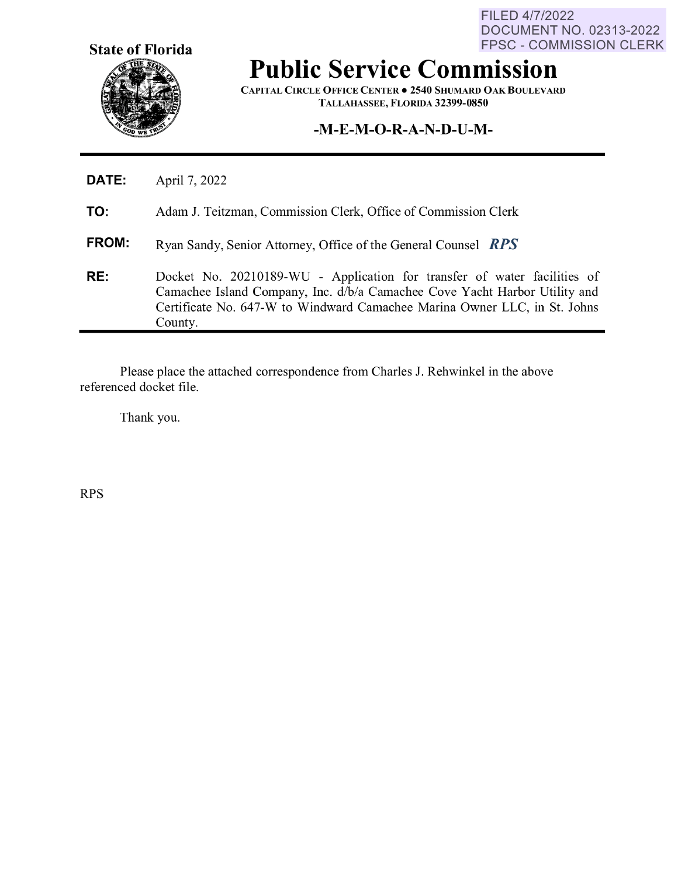**State of Florida** 

FILED 4/7/2022 DOCUMENT NO. 02313-2022 FPSC - COMMISSION CLERK

## **Public Service Commission**

**CAPITAL CIRCLE OFFICE CENTER• 2540 SHUMARD OAK BOULEVARD TALLAHASSEE, FLORIDA 32399-0850** 

## **-M-E-M-O-R-A-N-D-U-M-**

| DATE: | April 7, 2022                                                                                                                                                                                                                                  |
|-------|------------------------------------------------------------------------------------------------------------------------------------------------------------------------------------------------------------------------------------------------|
| TO:   | Adam J. Teitzman, Commission Clerk, Office of Commission Clerk                                                                                                                                                                                 |
| FROM: | Ryan Sandy, Senior Attorney, Office of the General Counsel RPS                                                                                                                                                                                 |
| RE:   | Docket No. 20210189-WU - Application for transfer of water facilities of<br>Camachee Island Company, Inc. d/b/a Camachee Cove Yacht Harbor Utility and<br>Certificate No. 647-W to Windward Camachee Marina Owner LLC, in St. Johns<br>County. |

Please place the attached correspondence from Charles J. Rehwinkel in the above referenced docket file.

Thank you.

RPS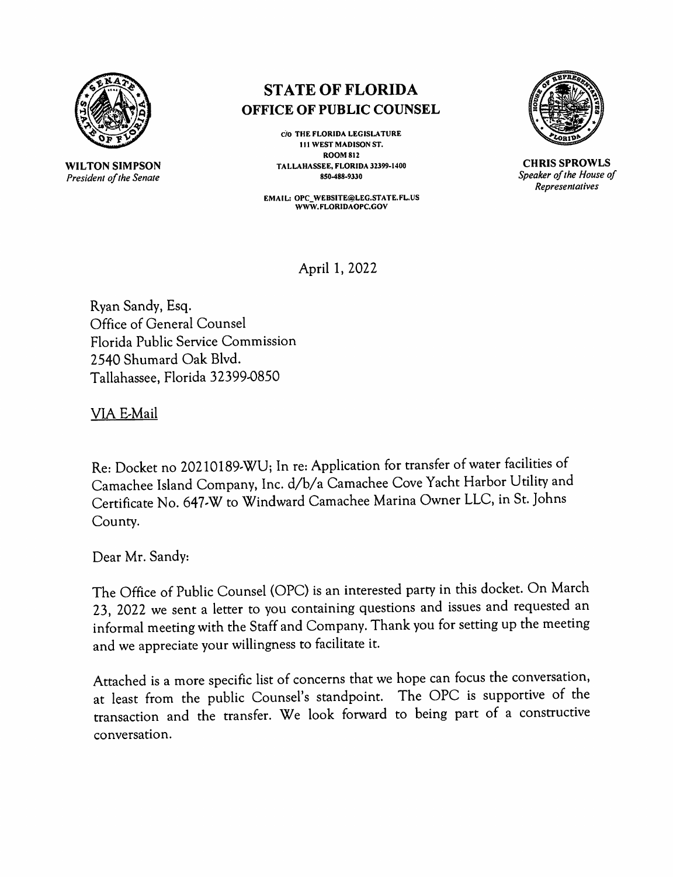

**WILTON SIMPSON**  *President of the Senate* 

## **ST ATE OF FLORIDA OFFICE OF PUBLIC COUNSEL**

**cio THE FLORIDA LEGISLATURE 111 WEST MADISON ST, ROOM812 TALLAHASSEE, FLORIDA 32399-1400 850-488-9330** 

**EMAIL: OPC\_WEBSITE@LEG,STATE.FL.US WWW. FLORIDAOPC.GOV** 



**CHRIS SPROWLS**  *Speaker of the House of Representatives* 

April 1, 2022

Ryan Sandy, Esq. Office of General Counsel Florida Public Service Commission 2540 Shumard Oak Blvd. Tallahassee, Florida 32399-0850

VIA E-Mail

Re: Docket no 20210189,WU; In re: Application for transfer of water facilities of Camachee Island Company, Inc. d/b/a Camachee Cove Yacht Harbor Utility and Certificate No. 647,W to Windward Camachee Marina Owner LLC, in St. Johns County.

Dear Mr. Sandy:

The Office of Public Counsel (OPC) is an interested party in this docket. On March 23, 2022 we sent a letter to you containing questions and issues and requested an informal meeting with the Staff and Company. Thank you for setting up the meeting and we appreciate your willingness to facilitate it.

Attached is a more specific list of concerns that we hope can focus the conversation, at least from the public Counsel's standpoint. The OPC is supportive of the transaction and the transfer. We look forward to being part of a constructive conversation.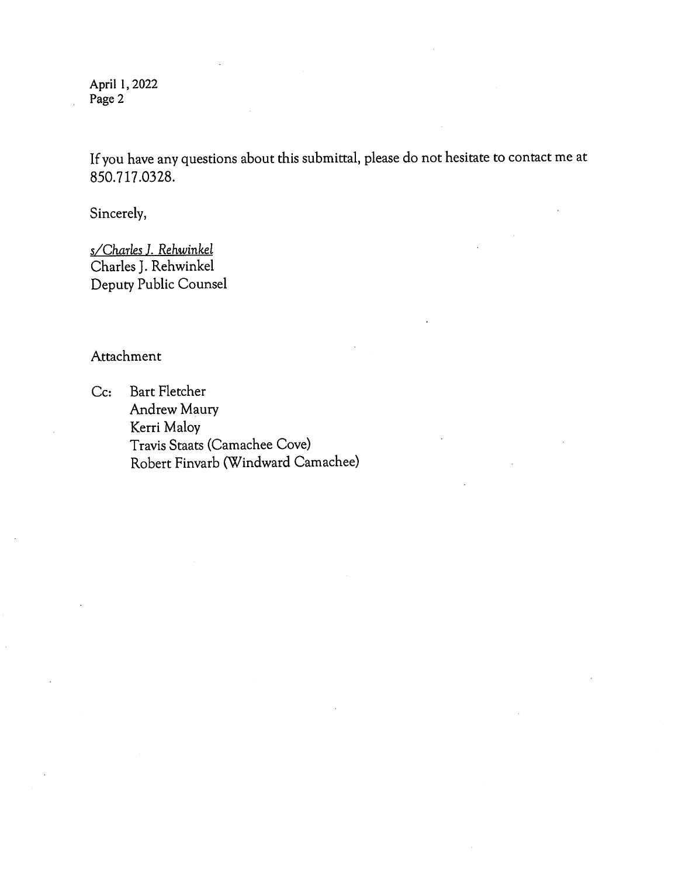April 1, 2022 Page 2

If you have any questions about this submittal, please do not hesitate to contact me at 850. 717 .03 28.

Sincerely,

*s/Charles ]. Rehwinkel*  Charles J. Rehwinkel Deputy Public Counsel

Attachment

Cc: Bart Fletcher Andrew Maury Kerri Maloy Travis Staats (Camachee Cove) Robert Finvarb (Windward Camachee)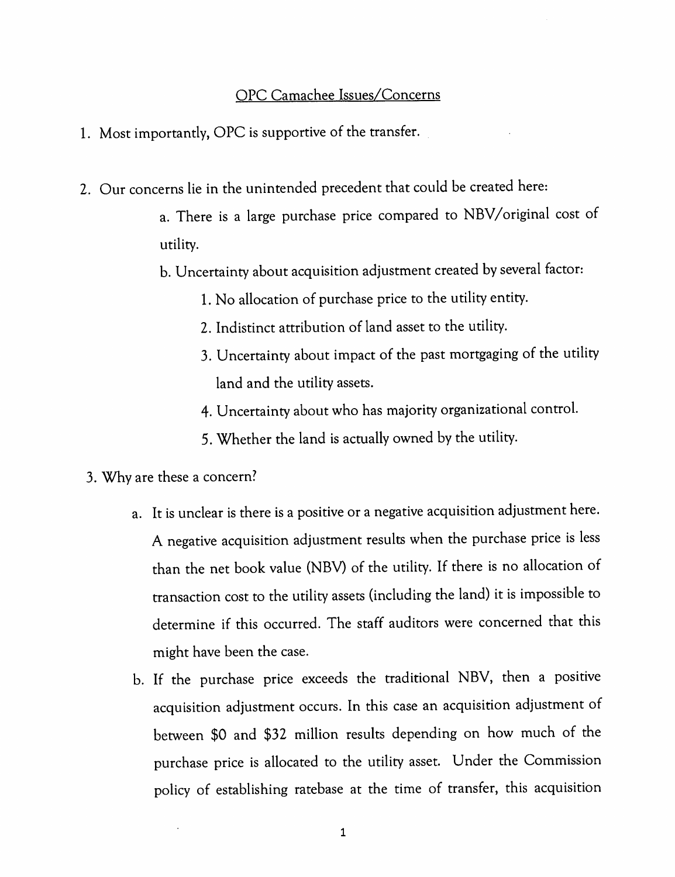## OPC Camachee Issues/Concerns

- 1. Most importantly, OPC is supportive of the transfer.
- 2. Our concerns lie in the unintended precedent that could be created here:
	- a. There is a large purchase price compared to NBV/original cost of utility.
	- b. Uncertainty about acquisition adjustment created by several factor:
		- 1. No allocation of purchase price to the utility entity.
		- 2. Indistinct attribution of land asset to the utility.
		- 3. Uncertainty about impact of the past mortgaging of the utility land and the utility assets.
		- 4. Uncertainty about who has majority organizational control.
		- 5. Whether the land is actually owned by the utility.
	- 3. Why are these a concern?
		- a. It is unclear is there is a positive or a negative acquisition adjustment here. A negative acquisition adjustment results when the purchase price is less than the net book value (NBV) of the utility. If there is no allocation of transaction cost to the utility assets (including the land) it is impossible to determine if this occurred. The staff auditors were concerned that this might have been the case.
		- b. If the purchase price exceeds the traditional NBV, then a positive acquisition adjustment occurs. In this case an acquisition adjustment of between \$0 and \$32 million results depending on how much of the purchase price is allocated to the utility asset. Under the Commission policy of establishing ratebase at the time of transfer, this acquisition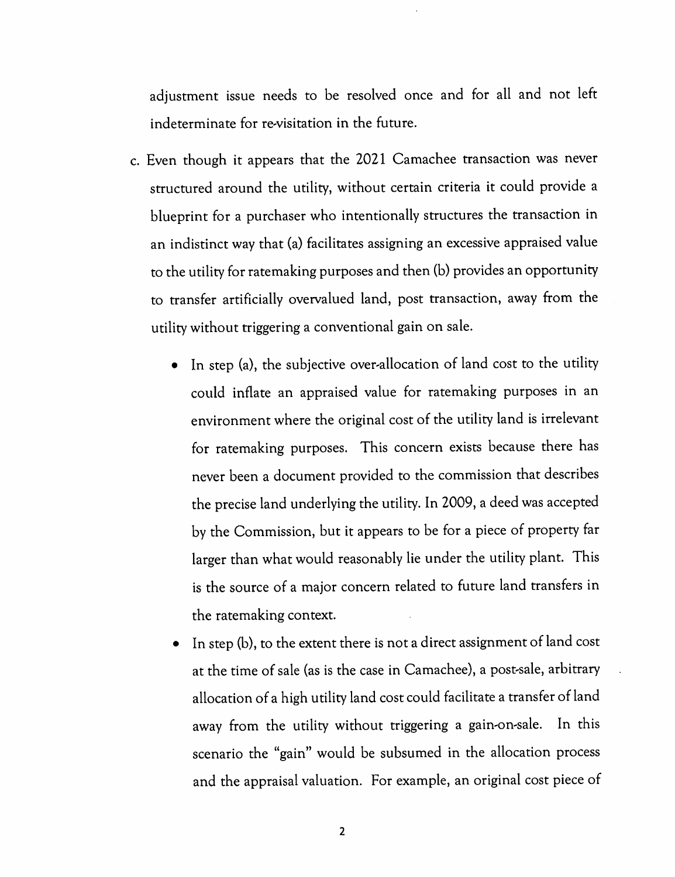adjustment issue needs to be resolved once and for all and not left indeterminate for re-visitation in the future.

- c. Even though it appears that the 2021 Camachee transaction was never structured around the utility, without certain criteria it could provide a blueprint for a purchaser who intentionally structures the transaction in an indistinct way that (a) facilitates assigning an excessive appraised value to the utility for ratemaking purposes and then (b) provides an opportunity to transfer artificially overvalued land, post transaction, away from the utility without triggering a conventional gain on sale.
	- In step (a), the subjective over-allocation of land cost to the utility could inflate an appraised value for ratemaking purposes in an environment where the original cost of the utility land is irrelevant for ratemaking purposes. This concern exists because there has never been a document provided to the commission that describes the precise land underlying the utility. In 2009, a deed was accepted by the Commission, but it appears to be for a piece of property far larger than what would reasonably lie under the utility plant. This is the source of a major concern related to future land transfers in the ratemaking context.
	- In step (b), to the extent there is not a direct assignment of land cost at the time of sale (as is the case in Camachee), a post-sale, arbitrary allocation of a high utility land cost could facilitate a transfer of land away from the utility without triggering a gain-on-sale. In this scenario the "gain" would be subsumed in the allocation process and the appraisal valuation. For example, an original cost piece of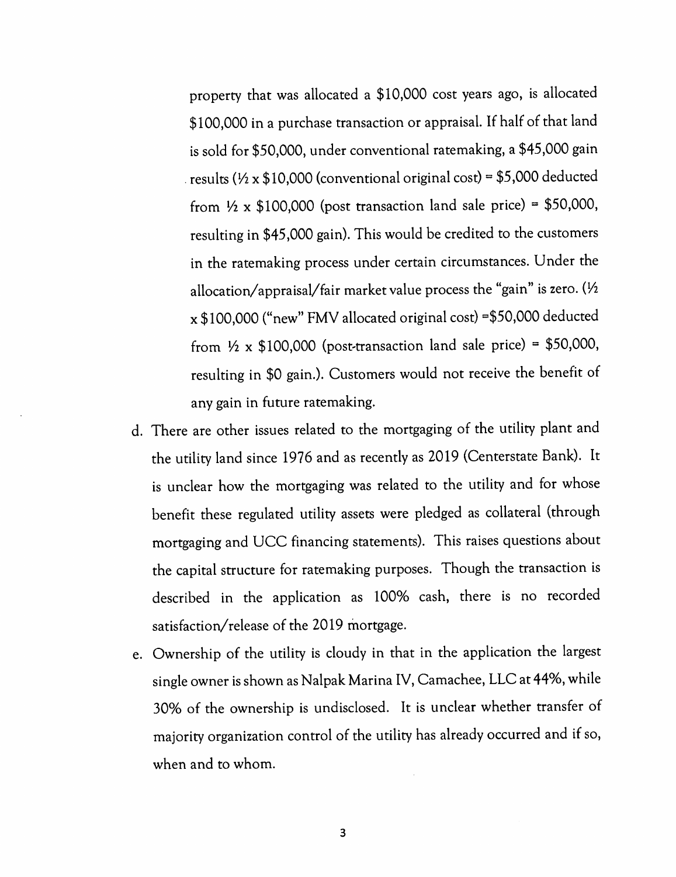property that was allocated a \$10,000 cost years ago, is allocated \$100,000 in a purchase transaction or appraisal. If half of that land is sold for \$50,000, under conventional ratemaking, a \$45,000 gain results ( $\frac{1}{2}$  x \$10,000 (conventional original cost) = \$5,000 deducted from  $\frac{1}{2} \times $100,000$  (post transaction land sale price) = \$50,000, resulting in \$45,000 gain). This would be credited to the customers in the ratemaking process under certain circumstances. Under the allocation/appraisal/fair market value process the "gain" is zero. (½ x \$100,000 ("new" FMV allocated original cost) =\$50,000 deducted from  $\frac{1}{2} \times $100,000$  (post-transaction land sale price) = \$50,000, resulting in \$0 gain.). Customers would not receive the benefit of any gain in future ratemaking.

- d. There are other issues related to the mortgaging of the utility plant and the utility land since 1976 and as recently as 2019 (Centerstate Bank). It is unclear how the mortgaging was related to the utility and for whose benefit these regulated utility assets were pledged as collateral (through mortgaging and UCC financing statements). This raises questions about the capital structure for ratemaking purposes. Though the transaction is described in the application as 100% cash, there is no recorded satisfaction/release of the 2019 mortgage.
- e. Ownership of the utility is cloudy in that in the application the largest single owner is shown as Nalpak Marina IV, Camachee, LLC at 44%, while 30% of the ownership is undisclosed. It is unclear whether transfer of majority organization control of the utility has already occurred and if so, when and to whom.

3